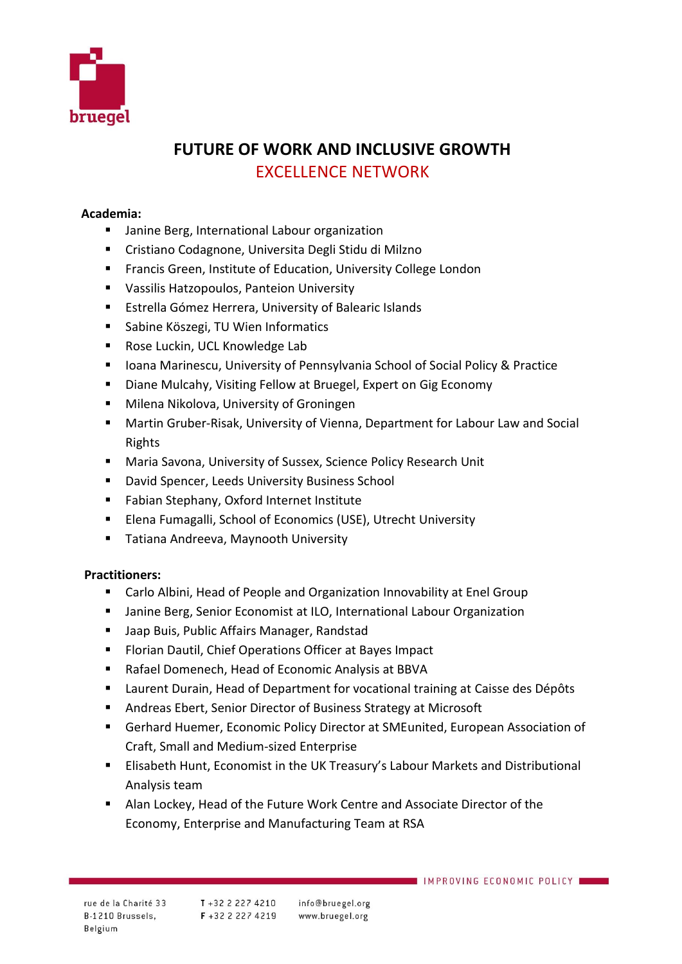

## **FUTURE OF WORK AND INCLUSIVE GROWTH** EXCELLENCE NETWORK

## **Academia:**

- Janine Berg, International Labour organization
- Cristiano Codagnone, Universita Degli Stidu di Milzno
- Francis Green, Institute of Education, University College London
- Vassilis Hatzopoulos, Panteion University
- Estrella Gómez Herrera, University of Balearic Islands
- Sabine Köszegi, TU Wien Informatics
- Rose Luckin, UCL Knowledge Lab
- Ioana Marinescu, University of Pennsylvania School of Social Policy & Practice
- Diane Mulcahy, Visiting Fellow at Bruegel, Expert on Gig Economy
- Milena Nikolova, University of Groningen
- Martin Gruber-Risak, University of Vienna, Department for Labour Law and Social Rights
- Maria Savona, University of Sussex, Science Policy Research Unit
- David Spencer, Leeds University Business School
- Fabian Stephany, Oxford Internet Institute
- Elena Fumagalli, School of Economics (USE), Utrecht University
- Tatiana Andreeva, Maynooth University

## **Practitioners:**

- Carlo Albini, Head of People and Organization Innovability at Enel Group
- Janine Berg, Senior Economist at ILO, International Labour Organization
- Jaap Buis, Public Affairs Manager, Randstad
- Florian Dautil, Chief Operations Officer at Bayes Impact
- Rafael Domenech, Head of Economic Analysis at BBVA
- Laurent Durain, Head of Department for vocational training at Caisse des Dépôts
- Andreas Ebert, Senior Director of Business Strategy at Microsoft
- Gerhard Huemer, Economic Policy Director at SMEunited, European Association of Craft, Small and Medium-sized Enterprise
- Elisabeth Hunt, Economist in the UK Treasury's Labour Markets and Distributional Analysis team
- Alan Lockey, Head of the Future Work Centre and Associate Director of the Economy, Enterprise and Manufacturing Team at RSA